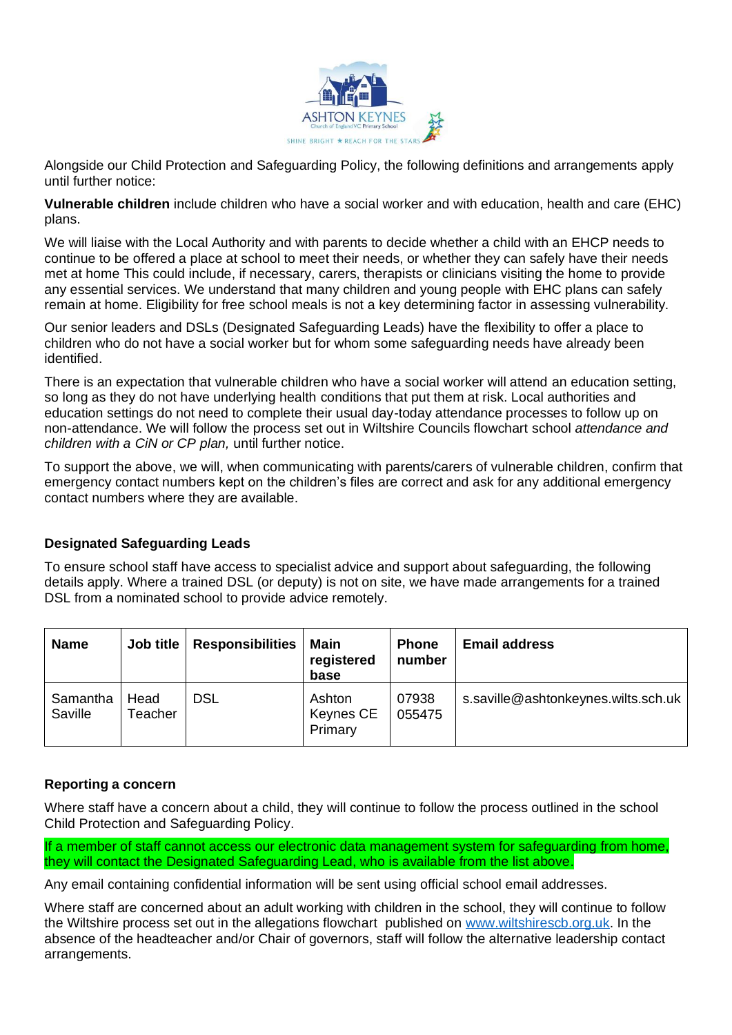

Alongside our Child Protection and Safeguarding Policy, the following definitions and arrangements apply until further notice:

**Vulnerable children** include children who have a social worker and with education, health and care (EHC) plans.

We will liaise with the Local Authority and with parents to decide whether a child with an EHCP needs to continue to be offered a place at school to meet their needs, or whether they can safely have their needs met at home This could include, if necessary, carers, therapists or clinicians visiting the home to provide any essential services. We understand that many children and young people with EHC plans can safely remain at home. Eligibility for free school meals is not a key determining factor in assessing vulnerability.

Our senior leaders and DSLs (Designated Safeguarding Leads) have the flexibility to offer a place to children who do not have a social worker but for whom some safeguarding needs have already been identified.

There is an expectation that vulnerable children who have a social worker will attend an education setting, so long as they do not have underlying health conditions that put them at risk. Local authorities and education settings do not need to complete their usual day-today attendance processes to follow up on non-attendance. We will follow the process set out in Wiltshire Councils flowchart school *attendance and children with a CiN or CP plan,* until further notice.

To support the above, we will, when communicating with parents/carers of vulnerable children, confirm that emergency contact numbers kept on the children's files are correct and ask for any additional emergency contact numbers where they are available.

## **Designated Safeguarding Leads**

To ensure school staff have access to specialist advice and support about safeguarding, the following details apply. Where a trained DSL (or deputy) is not on site, we have made arrangements for a trained DSL from a nominated school to provide advice remotely.

| <b>Name</b>         | Job title       | <b>Responsibilities</b> | Main<br>registered<br>base     | <b>Phone</b><br>number | <b>Email address</b>                |
|---------------------|-----------------|-------------------------|--------------------------------|------------------------|-------------------------------------|
| Samantha<br>Saville | Head<br>Teacher | <b>DSL</b>              | Ashton<br>Keynes CE<br>Primary | 07938<br>055475        | s.saville@ashtonkeynes.wilts.sch.uk |

#### **Reporting a concern**

Where staff have a concern about a child, they will continue to follow the process outlined in the school Child Protection and Safeguarding Policy.

If a member of staff cannot access our electronic data management system for safeguarding from home, they will contact the Designated Safeguarding Lead, who is available from the list above.

Any email containing confidential information will be sent using official school email addresses.

Where staff are concerned about an adult working with children in the school, they will continue to follow the Wiltshire process set out in the allegations flowchart published on [www.wiltshirescb.org.uk.](http://www.wiltshirescb.org.uk/) In the absence of the headteacher and/or Chair of governors, staff will follow the alternative leadership contact arrangements.